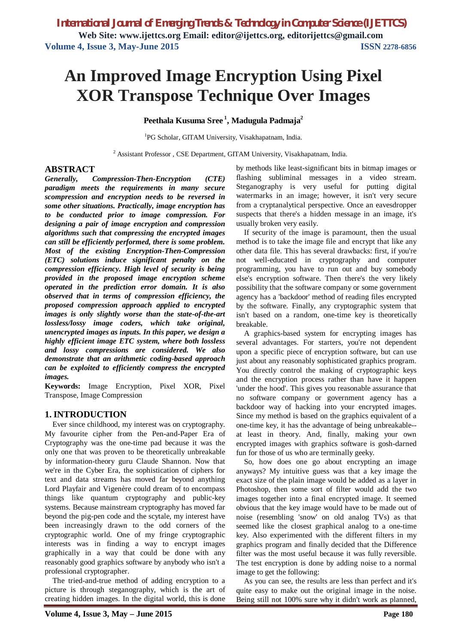# **An Improved Image Encryption Using Pixel XOR Transpose Technique Over Images**

# **Peethala Kusuma Sree <sup>1</sup> , Madugula Padmaja<sup>2</sup>**

1 PG Scholar, GITAM University, Visakhapatnam, India.

<sup>2</sup> Assistant Professor, CSE Department, GITAM University, Visakhapatnam, India.

# **ABSTRACT**

*Generally, Compression-Then-Encryption (CTE) paradigm meets the requirements in many secure scompression and encryption needs to be reversed in some other situations. Practically, image encryption has to be conducted prior to image compression. For designing a pair of image encryption and compression algorithms such that compressing the encrypted images can still be efficiently performed, there is some problem. Most of the existing Encryption-Then-Compression (ETC) solutions induce significant penalty on the compression efficiency. High level of security is being provided in the proposed image encryption scheme operated in the prediction error domain. It is also observed that in terms of compression efficiency, the proposed compression approach applied to encrypted images is only slightly worse than the state-of-the-art lossless/lossy image coders, which take original, unencrypted images as inputs. In this paper, we design a highly efficient image ETC system, where both lossless and lossy compressions are considered. We also demonstrate that an arithmetic coding-based approach can be exploited to efficiently compress the encrypted images.*

**Keywords:** Image Encryption, Pixel XOR, Pixel Transpose, Image Compression

# **1. INTRODUCTION**

Ever since childhood, my interest was on cryptography. My favourite cipher from the Pen-and-Paper Era of Cryptography was the one-time pad because it was the only one that was proven to be theoretically unbreakable by information-theory guru Claude Shannon. Now that we're in the Cyber Era, the sophistication of ciphers for text and data streams has moved far beyond anything Lord Playfair and Vigenère could dream of to encompass things like quantum cryptography and public-key systems. Because mainstream cryptography has moved far beyond the pig-pen code and the scytale, my interest have been increasingly drawn to the odd corners of the cryptographic world. One of my fringe cryptographic interests was in finding a way to encrypt images graphically in a way that could be done with any reasonably good graphics software by anybody who isn't a professional cryptographer.

The tried-and-true method of adding encryption to a picture is through steganography, which is the art of creating hidden images. In the digital world, this is done by methods like least-significant bits in bitmap images or flashing subliminal messages in a video stream. Steganography is very useful for putting digital watermarks in an image; however, it isn't very secure from a cryptanalytical perspective. Once an eavesdropper suspects that there's a hidden message in an image, it's usually broken very easily.

If security of the image is paramount, then the usual method is to take the image file and encrypt that like any other data file. This has several drawbacks: first, if you're not well-educated in cryptography and computer programming, you have to run out and buy somebody else's encryption software. Then there's the very likely possibility that the software company or some government agency has a 'backdoor' method of reading files encrypted by the software. Finally, any cryptographic system that isn't based on a random, one-time key is theoretically breakable.

A graphics-based system for encrypting images has several advantages. For starters, you're not dependent upon a specific piece of encryption software, but can use just about any reasonably sophisticated graphics program. You directly control the making of cryptographic keys and the encryption process rather than have it happen 'under the hood'. This gives you reasonable assurance that no software company or government agency has a backdoor way of hacking into your encrypted images. Since my method is based on the graphics equivalent of a one-time key, it has the advantage of being unbreakable- at least in theory. And, finally, making your own encrypted images with graphics software is gosh-darned fun for those of us who are terminally geeky.

So, how does one go about encrypting an image anyways? My intuitive guess was that a key image the exact size of the plain image would be added as a layer in Photoshop, then some sort of filter would add the two images together into a final encrypted image. It seemed obvious that the key image would have to be made out of noise (resembling 'snow' on old analog TVs) as that seemed like the closest graphical analog to a one-time key. Also experimented with the different filters in my graphics program and finally decided that the Difference filter was the most useful because it was fully reversible. The test encryption is done by adding noise to a normal image to get the following:

As you can see, the results are less than perfect and it's quite easy to make out the original image in the noise. Being still not 100% sure why it didn't work as planned,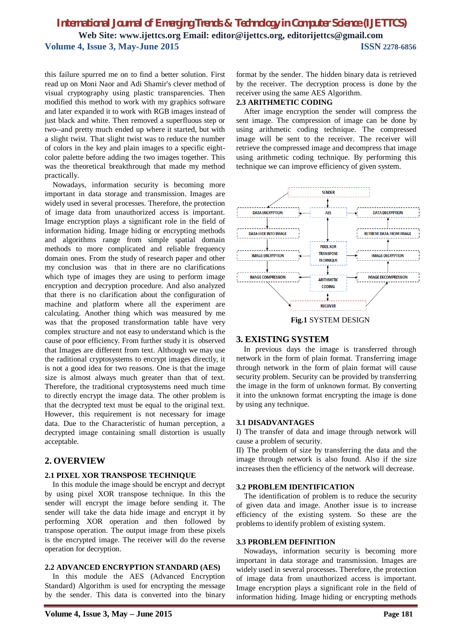this failure spurred me on to find a better solution. First read up on Moni Naor and Adi Shamir's clever method of visual cryptography using plastic transparencies. Then modified this method to work with my graphics software and later expanded it to work with RGB images instead of just black and white. Then removed a superfluous step or two--and pretty much ended up where it started, but with a slight twist. That slight twist was to reduce the number of colors in the key and plain images to a specific eightcolor palette before adding the two images together. This was the theoretical breakthrough that made my method practically.

Nowadays, information security is becoming more important in data storage and transmission. Images are widely used in several processes. Therefore, the protection of image data from unauthorized access is important. Image encryption plays a significant role in the field of information hiding. Image hiding or encrypting methods and algorithms range from simple spatial domain methods to more complicated and reliable frequency domain ones. From the study of research paper and other my conclusion was that in there are no clarifications which type of images they are using to perform image encryption and decryption procedure. And also analyzed that there is no clarification about the configuration of machine and platform where all the experiment are calculating. Another thing which was measured by me was that the proposed transformation table have very complex structure and not easy to understand which is the cause of poor efficiency. From further study it is observed that Images are different from text. Although we may use the raditional cryptosystems to encrypt images directly, it is not a good idea for two reasons. One is that the image size is almost always much greater than that of text. Therefore, the traditional cryptosystems need much time to directly encrypt the image data. The other problem is that the decrypted text must be equal to the original text. However, this requirement is not necessary for image data. Due to the Characteristic of human perception, a decrypted image containing small distortion is usually acceptable.

## **2. OVERVIEW**

#### **2.1 PIXEL XOR TRANSPOSE TECHNIQUE**

In this module the image should be encrypt and decrypt by using pixel XOR transpose technique. In this the sender will encrypt the image before sending it. The sender will take the data hide image and encrypt it by performing XOR operation and then followed by transpose operation. The output image from these pixels is the encrypted image. The receiver will do the reverse operation for decryption.

#### **2.2 ADVANCED ENCRYPTION STANDARD (AES)**

In this module the AES (Advanced Encryption Standard) Algorithm is used for encrypting the message by the sender. This data is converted into the binary format by the sender. The hidden binary data is retrieved by the receiver. The decryption process is done by the receiver using the same AES Algorithm.

#### **2.3 ARITHMETIC CODING**

After image encryption the sender will compress the sent image. The compression of image can be done by using arithmetic coding technique. The compressed image will be sent to the receiver. The receiver will retrieve the compressed image and decompress that image using arithmetic coding technique. By performing this technique we can improve efficiency of given system.



**Fig.1** SYSTEM DESIGN

#### **3. EXISTING SYSTEM**

In previous days the image is transferred through network in the form of plain format. Transferring image through network in the form of plain format will cause security problem. Security can be provided by transferring the image in the form of unknown format. By converting it into the unknown format encrypting the image is done by using any technique.

#### **3.1 DISADVANTAGES**

I) The transfer of data and image through network will cause a problem of security.

II) The problem of size by transferring the data and the image through network is also found. Also if the size increases then the efficiency of the network will decrease.

#### **3.2 PROBLEM IDENTIFICATION**

The identification of problem is to reduce the security of given data and image. Another issue is to increase efficiency of the existing system. So these are the problems to identify problem of existing system.

#### **3.3 PROBLEM DEFINITION**

Nowadays, information security is becoming more important in data storage and transmission. Images are widely used in several processes. Therefore, the protection of image data from unauthorized access is important. Image encryption plays a significant role in the field of information hiding. Image hiding or encrypting methods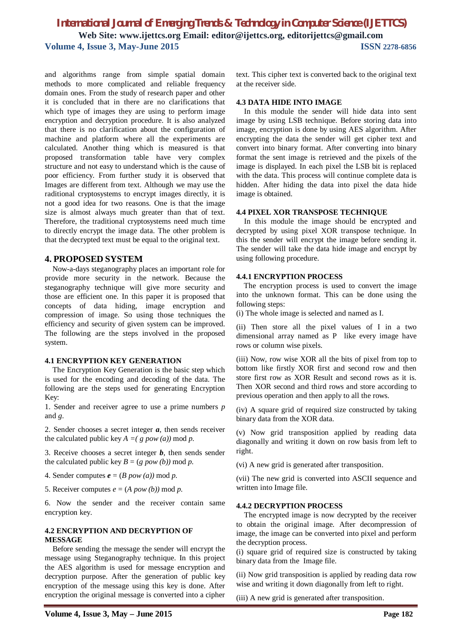and algorithms range from simple spatial domain methods to more complicated and reliable frequency domain ones. From the study of research paper and other it is concluded that in there are no clarifications that which type of images they are using to perform image encryption and decryption procedure. It is also analyzed that there is no clarification about the configuration of machine and platform where all the experiments are calculated. Another thing which is measured is that proposed transformation table have very complex structure and not easy to understand which is the cause of poor efficiency. From further study it is observed that Images are different from text. Although we may use the raditional cryptosystems to encrypt images directly, it is not a good idea for two reasons. One is that the image size is almost always much greater than that of text. Therefore, the traditional cryptosystems need much time to directly encrypt the image data. The other problem is that the decrypted text must be equal to the original text.

# **4. PROPOSED SYSTEM**

Now-a-days steganography places an important role for provide more security in the network. Because the steganography technique will give more security and those are efficient one. In this paper it is proposed that concepts of data hiding, image encryption and compression of image. So using those techniques the efficiency and security of given system can be improved. The following are the steps involved in the proposed system.

## **4.1 ENCRYPTION KEY GENERATION**

The Encryption Key Generation is the basic step which is used for the encoding and decoding of the data. The following are the steps used for generating Encryption Key:

1. Sender and receiver agree to use a prime numbers *p*  and *g*.

2. Sender chooses a secret integer *a*, then sends receiver the calculated public key  $A = (g \, pow(a)) \, mod \, p$ .

3. Receive chooses a secret integer *b*, then sends sender the calculated public key  $B = (g \, pow (b)) \bmod p$ .

- 4. Sender computes  $e = (B \, pow (a)) \bmod p$ .
- 5. Receiver computes  $e = (A \, pow(b)) \bmod p$ .

6. Now the sender and the receiver contain same encryption key.

## **4.2 ENCRYPTION AND DECRYPTION OF MESSAGE**

Before sending the message the sender will encrypt the message using Steganography technique. In this project the AES algorithm is used for message encryption and decryption purpose. After the generation of public key encryption of the message using this key is done. After encryption the original message is converted into a cipher

text. This cipher text is converted back to the original text at the receiver side.

#### **4.3 DATA HIDE INTO IMAGE**

In this module the sender will hide data into sent image by using LSB technique. Before storing data into image, encryption is done by using AES algorithm. After encrypting the data the sender will get cipher text and convert into binary format. After converting into binary format the sent image is retrieved and the pixels of the image is displayed. In each pixel the LSB bit is replaced with the data. This process will continue complete data is hidden. After hiding the data into pixel the data hide image is obtained.

#### **4.4 PIXEL XOR TRANSPOSE TECHNIQUE**

In this module the image should be encrypted and decrypted by using pixel XOR transpose technique. In this the sender will encrypt the image before sending it. The sender will take the data hide image and encrypt by using following procedure.

#### **4.4.1 ENCRYPTION PROCESS**

The encryption process is used to convert the image into the unknown format. This can be done using the following steps:

(i) The whole image is selected and named as I.

(ii) Then store all the pixel values of I in a two dimensional array named as P like every image have rows or column wise pixels.

(iii) Now, row wise XOR all the bits of pixel from top to bottom like firstly XOR first and second row and then store first row as XOR Result and second rows as it is. Then XOR second and third rows and store according to previous operation and then apply to all the rows.

(iv) A square grid of required size constructed by taking binary data from the XOR data.

(v) Now grid transposition applied by reading data diagonally and writing it down on row basis from left to right.

(vi) A new grid is generated after transposition.

(vii) The new grid is converted into ASCII sequence and written into Image file.

#### **4.4.2 DECRYPTION PROCESS**

The encrypted image is now decrypted by the receiver to obtain the original image. After decompression of image, the image can be converted into pixel and perform the decryption process.

(i) square grid of required size is constructed by taking binary data from the Image file.

(ii) Now grid transposition is applied by reading data row wise and writing it down diagonally from left to right.

(iii) A new grid is generated after transposition.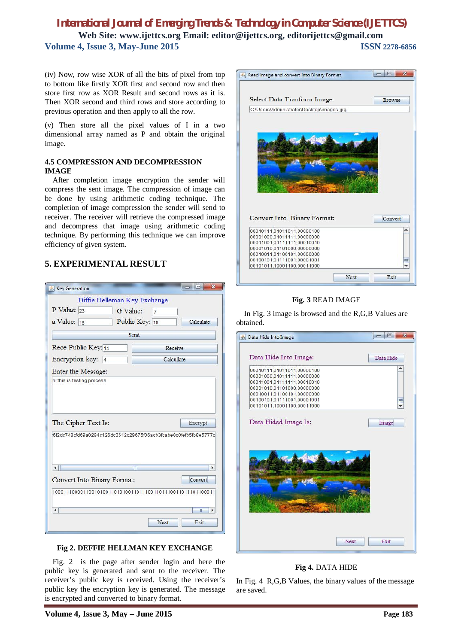(iv) Now, row wise XOR of all the bits of pixel from top to bottom like firstly XOR first and second row and then store first row as XOR Result and second rows as it is. Then XOR second and third rows and store according to previous operation and then apply to all the row.

(v) Then store all the pixel values of I in a two dimensional array named as P and obtain the original image.

## **4.5 COMPRESSION AND DECOMPRESSION IMAGE**

After completion image encryption the sender will compress the sent image. The compression of image can be done by using arithmetic coding technique. The completion of image compression the sender will send to receiver. The receiver will retrieve the compressed image and decompress that image using arithmetic coding technique. By performing this technique we can improve efficiency of given system.

# **5. EXPERIMENTAL RESULT**

| Key Generation                                                           | $\mathbf{x}$<br>$=$                                                         |
|--------------------------------------------------------------------------|-----------------------------------------------------------------------------|
| Diffie Helleman Key Exchange<br>P Value: $23$<br>G Value:<br>a Value: 18 | $\overline{7}$<br>Public Key: 18<br>Calculate                               |
|                                                                          | Send                                                                        |
| Rece Public Key: 14                                                      | Receive                                                                     |
| Encryption key: 4                                                        | Calcullate                                                                  |
| Enter the Message:                                                       |                                                                             |
| The Cipher Text Is:                                                      | Encrypt<br>l6f2dc748cfd69a0294c126dc3612c29675f06acb3fcabe0c0fefb5fb8e5777d |
| $\blacktriangleleft$<br>Convert Into Binary Format:                      | T<br>Þ<br>Convert                                                           |
|                                                                          | 1000111000011001010011010100110111001101110011011101100011                  |
| $\blacktriangleleft$                                                     | $\overline{\mathbb{I}}$<br>Þ                                                |
|                                                                          | Next<br>Exit                                                                |

## **Fig 2. DEFFIE HELLMAN KEY EXCHANGE**

Fig. 2 is the page after sender login and here the public key is generated and sent to the receiver. The receiver's public key is received. Using the receiver's public key the encryption key is generated. The message is encrypted and converted to binary format.



## **Fig. 3** READ IMAGE

In Fig. 3 image is browsed and the R,G,B Values are obtained.



## **Fig 4.** DATA HIDE

In Fig. 4 R,G,B Values, the binary values of the message are saved.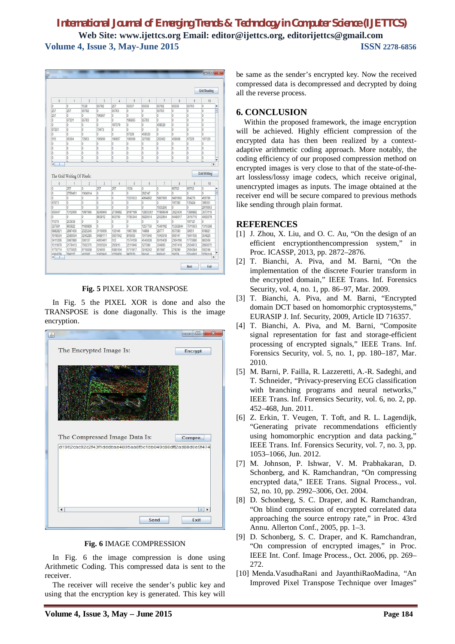|                                                                                                     |                                  |                |                |                    |         |                |                  |          |                    | <b>Grid Reading</b>      |   |
|-----------------------------------------------------------------------------------------------------|----------------------------------|----------------|----------------|--------------------|---------|----------------|------------------|----------|--------------------|--------------------------|---|
| $\theta$                                                                                            | $\overline{1}$                   | $\overline{2}$ | $\overline{3}$ | $\Delta$           | 5       | 6              | $\overline{7}$   | 8        | $\overline{Q}$     | 10                       |   |
| lo.                                                                                                 | l0                               | 1538           | 65792          | 257                | 65537   | 65536          | 65792            | 65536    | 65793              | lö.                      | A |
| 257                                                                                                 | 257                              | 65792          | ٥              | 65793              | IO      | o              | 65793            | 10       | O                  | Iō                       | Ξ |
| 257                                                                                                 | O                                | 0              | 196867         | O                  | In      | $\overline{0}$ | n                | lö.      | O                  | lö.                      |   |
| IO.                                                                                                 | 67331                            | 65793          | Ō              | $\overline{0}$     | 196865  | 65793          | Iō.              | l0       | b                  | lö                       |   |
| o                                                                                                   | l0                               | I0             | 0              | 197379             | IO      | 0              | 459520           | l0       | O                  | lo                       |   |
| 67331                                                                                               | 0                                | l0             | 73473          | O                  | lö.     | $\overline{0}$ | o                | lö.      | O                  | lö.                      |   |
| ō                                                                                                   | l0.                              | b              | Ü.             | o                  | 67328   | 459520         | IO.              | l0       | b.                 | lo.                      |   |
| 515                                                                                                 | 66304                            | 72963          | 196866         | 196867             | 196609  | 327682         | 262402           | 459008   | 67329              | 197120                   |   |
| lö.                                                                                                 | l0                               | b              | Ō              | $\overline{0}$     | lö.     | $\overline{0}$ | O                | l0       | b)                 | lö.                      |   |
| b                                                                                                   | I0                               | O              | l0             | O                  | l0      | <sup>0</sup>   | b                | lo       | O                  | lo                       |   |
| lö.                                                                                                 | l0                               | o              | Ō              | lo                 | o       | $\overline{0}$ | O                | lö       | O                  | Ō                        |   |
|                                                                                                     |                                  |                |                |                    |         |                |                  |          |                    |                          |   |
|                                                                                                     | l0                               | O              | lö.            | lo                 | I0      | <b>lo</b>      | b                | l0       | O                  | lö.                      |   |
| Ш                                                                                                   | h<br>The Grid Writing Of Pixels: | Б              | a              | L                  | 5       | Б              | Б                | 5        | h                  | 5<br><b>Grid Writing</b> | ¥ |
| $\theta$                                                                                            | $\mathbf{1}$                     | $\overline{2}$ | $\overline{3}$ | $\overline{4}$     | 5       | 6              | $\overline{7}$   | 8        | $\overline{9}$     | 10                       |   |
|                                                                                                     | 257                              | Ō              | 257            | 257                | 1538    | <sup>0</sup>   | IO.              | 65792    | 65792              | O                        |   |
|                                                                                                     | 2759451                          | 1904914        | Ō              | o                  | h       | 262147         | In               | In       | b                  | n                        |   |
|                                                                                                     | n                                | o              | Ō              | O                  | 1931033 | 4964802        | 5887609          | 6491660  | 854276             | 459786                   |   |
|                                                                                                     | Iō                               | o              | ö              | $\overline{0}$     | O       | <sup>0</sup>   | Iō.              | 197392   | 135424             | 399361                   |   |
|                                                                                                     | $\overline{0}$                   | $\overline{0}$ | $\ddot{0}$     | o                  | Ò       | $\overline{0}$ | 1835266          | n        | O.                 | 2978063                  |   |
|                                                                                                     | 1312000                          | 1997086        | 8248940        | 2739892            | 8197189 | 12855361       | 11988649         | 3023430  | 1389882            | 3673110                  |   |
|                                                                                                     | Ō                                | Ō              | 983812         | 853760             | 1785344 | 6820614        | 2032954          | 6448017  | 3616710            | 4002079                  |   |
|                                                                                                     | 263938                           | lo.            | 0              | O.                 | l0      | $\overline{0}$ | In.              | n        | 197121             | n                        |   |
|                                                                                                     | 983822                           | 1180929        | Ō              | l0.                | In      | 1257750        | 1640192          | 15362844 | 7611663            | 1315588                  |   |
| lo.<br>$\overline{\phantom{a}}$<br>Io.<br>lö.<br>Ō<br>67073<br>656647<br>11570<br>327681<br>6882821 | 2897450                          | 2325240        | 3110056        | 133146             | 1967366 | 14888          | 28777            | 657593   | 30651              | 618821                   |   |
|                                                                                                     | 2586634                          | 3243280        | 6489111        | 5657642            | 816655  | 1911040        | 1643018          | 666141   | 1841155            | 354826                   |   |
|                                                                                                     | 3087880                          | 336137         | 4063491        | 512                | 1574159 | 4543039        | 6016439          | 2364190  | 1773080            | 983560                   |   |
|                                                                                                     | 2178413                          | 7502375        | 3105524        | 265815             | 2511940 | 527380         | 334893           | 2167419  | 2634813            | 2893075                  |   |
| 1918534<br>3411200<br>1511879<br>1770774<br>4064570                                                 | 1273625<br>708227                | 6710038        | 524655         | 6383104<br>1735076 | 5711917 | 3018242        | 851987<br>800042 | 278289   | 2564384<br>3744602 | 592248<br>3738110        |   |

**Fig. 5** PIXEL XOR TRANSPOSE

In Fig. 5 the PIXEL XOR is done and also the TRANSPOSE is done diagonally. This is the image encryption.



**Fig. 6** IMAGE COMPRESSION

In Fig. 6 the image compression is done using Arithmetic Coding. This compressed data is sent to the receiver.

The receiver will receive the sender's public key and using that the encryption key is generated. This key will

be same as the sender's encrypted key. Now the received compressed data is decompressed and decrypted by doing all the reverse process.

# **6. CONCLUSION**

Within the proposed framework, the image encryption will be achieved. Highly efficient compression of the encrypted data has then been realized by a contextadaptive arithmetic coding approach. More notably, the coding efficiency of our proposed compression method on encrypted images is very close to that of the state-of-theart lossless/lossy image codecs, which receive original, unencrypted images as inputs. The image obtained at the receiver end will be secure compared to previous methods like sending through plain format.

# **REFERENCES**

- [1] J. Zhou, X. Liu, and O. C. Au, "On the design of an efficient encryptionthencompression system," in Proc. ICASSP, 2013, pp. 2872–2876.
- [2] T. Bianchi, A. Piva, and M. Barni, "On the implementation of the discrete Fourier transform in the encrypted domain," IEEE Trans. Inf. Forensics Security, vol. 4, no. 1, pp. 86–97, Mar. 2009.
- [3] T. Bianchi, A. Piva, and M. Barni, "Encrypted domain DCT based on homomorphic cryptosystems," EURASIP J. Inf. Security, 2009, Article ID 716357.
- [4] T. Bianchi, A. Piva, and M. Barni, "Composite signal representation for fast and storage-efficient processing of encrypted signals," IEEE Trans. Inf. Forensics Security, vol. 5, no. 1, pp. 180–187, Mar. 2010.
- [5] M. Barni, P. Failla, R. Lazzeretti, A.-R. Sadeghi, and T. Schneider, "Privacy-preserving ECG classification with branching programs and neural networks," IEEE Trans. Inf. Forensics Security, vol. 6, no. 2, pp. 452–468, Jun. 2011.
- [6] Z. Erkin, T. Veugen, T. Toft, and R. L. Lagendijk, "Generating private recommendations efficiently using homomorphic encryption and data packing," IEEE Trans. Inf. Forensics Security, vol. 7, no. 3, pp. 1053–1066, Jun. 2012.
- [7] M. Johnson, P. Ishwar, V. M. Prabhakaran, D. Schonberg, and K. Ramchandran, "On compressing encrypted data," IEEE Trans. Signal Process., vol. 52, no. 10, pp. 2992–3006, Oct. 2004.
- [8] D. Schonberg, S. C. Draper, and K. Ramchandran, "On blind compression of encrypted correlated data approaching the source entropy rate," in Proc. 43rd Annu. Allerton Conf., 2005, pp. 1–3.
- [9] D. Schonberg, S. C. Draper, and K. Ramchandran, "On compression of encrypted images," in Proc. IEEE Int. Conf. Image Process., Oct. 2006, pp. 269– 272.
- [10] Menda.VasudhaRani and JayanthiRaoMadina, "An Improved Pixel Transpose Technique over Images"